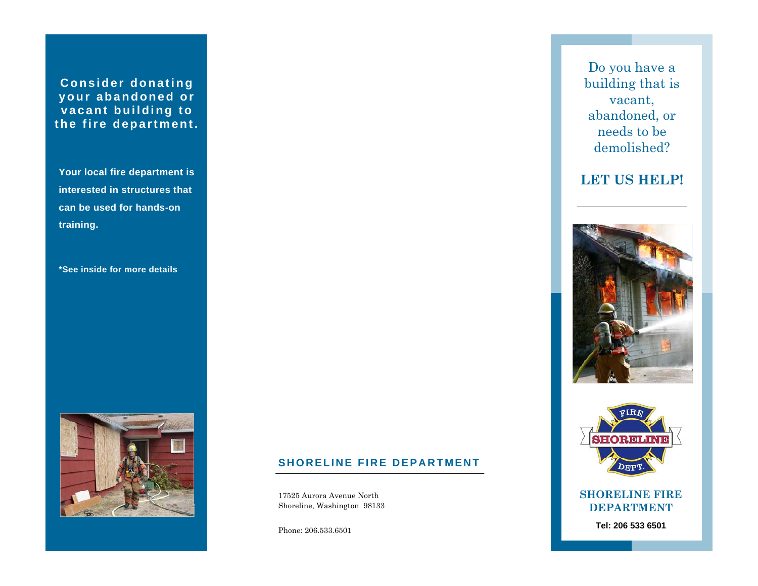**Consider donating your abandoned or vacant building to the fire department.** 

**Your local fire department is interested in structures that can be used for hands-on training.** 

**\*See inside for more details** 



## **SHORELINE FIRE DEPARTMENT**

17525 Aurora Avenue North Shoreline, Washington 98133

Phone: 206.533.6501

Do you have a building that is vacant, abandoned, or needs to be demolished?

# **LET US HELP!**





### **SHORELINE FIRE DEPARTMENT**

**Tel: 206 533 6501**